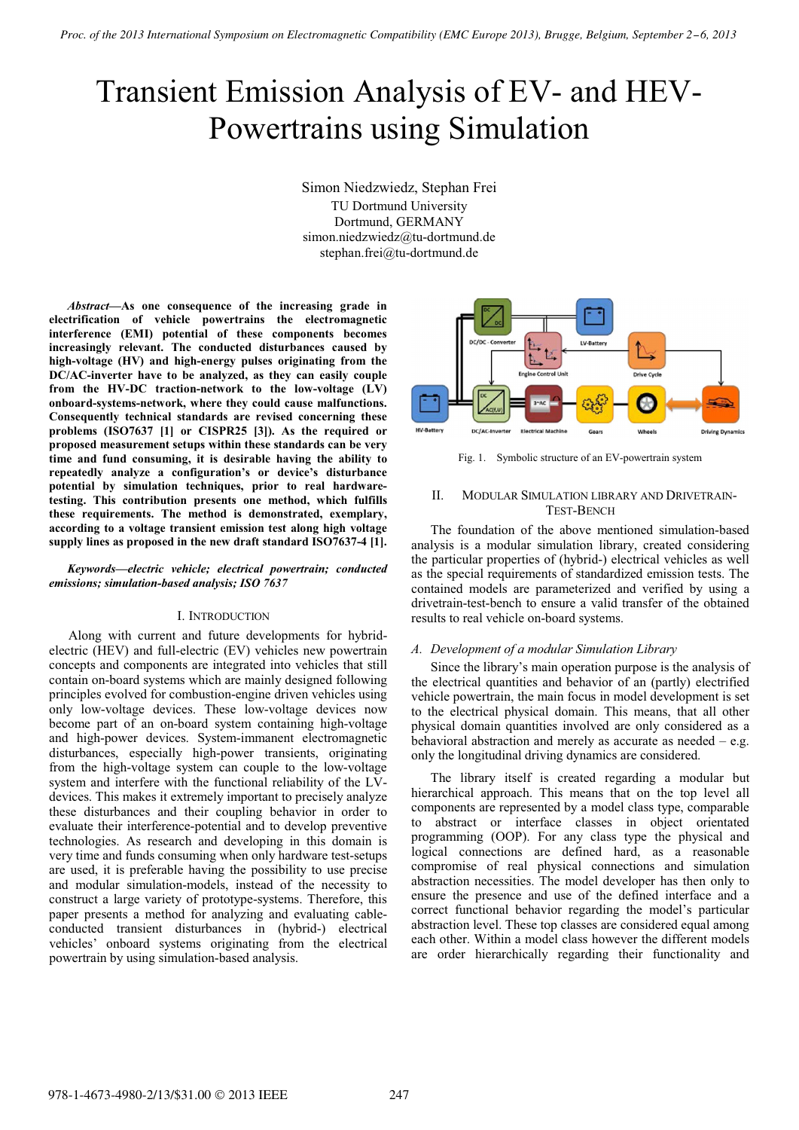# Transient Emission Analysis of EV- and HEV-Powertrains using Simulation

Simon Niedzwiedz, Stephan Frei TU Dortmund University Dortmund, GERMANY simon.niedzwiedz@tu-dortmund.de stephan.frei@tu-dortmund.de

*Abstract***—As one consequence of the increasing grade in electrification of vehicle powertrains the electromagnetic interference (EMI) potential of these components becomes increasingly relevant. The conducted disturbances caused by high-voltage (HV) and high-energy pulses originating from the DC/AC-inverter have to be analyzed, as they can easily couple from the HV-DC traction-network to the low-voltage (LV) onboard-systems-network, where they could cause malfunctions. Consequently technical standards are revised concerning these problems (ISO7637 [1] or CISPR25 [3]). As the required or proposed measurement setups within these standards can be very time and fund consuming, it is desirable having the ability to repeatedly analyze a configuration's or device's disturbance potential by simulation techniques, prior to real hardwaretesting. This contribution presents one method, which fulfills these requirements. The method is demonstrated, exemplary, according to a voltage transient emission test along high voltage supply lines as proposed in the new draft standard ISO7637-4 [1].**

## *Keywords—electric vehicle; electrical powertrain; conducted emissions; simulation-based analysis; ISO 7637*

# I. INTRODUCTION

Along with current and future developments for hybridelectric (HEV) and full-electric (EV) vehicles new powertrain concepts and components are integrated into vehicles that still contain on-board systems which are mainly designed following principles evolved for combustion-engine driven vehicles using only low-voltage devices. These low-voltage devices now become part of an on-board system containing high-voltage and high-power devices. System-immanent electromagnetic disturbances, especially high-power transients, originating from the high-voltage system can couple to the low-voltage system and interfere with the functional reliability of the LVdevices. This makes it extremely important to precisely analyze these disturbances and their coupling behavior in order to evaluate their interference-potential and to develop preventive technologies. As research and developing in this domain is very time and funds consuming when only hardware test-setups are used, it is preferable having the possibility to use precise and modular simulation-models, instead of the necessity to construct a large variety of prototype-systems. Therefore, this paper presents a method for analyzing and evaluating cableconducted transient disturbances in (hybrid-) electrical vehicles' onboard systems originating from the electrical powertrain by using simulation-based analysis.



Fig. 1. Symbolic structure of an EV-powertrain system

# II. MODULAR SIMULATION LIBRARY AND DRIVETRAIN-TEST-BENCH

The foundation of the above mentioned simulation-based analysis is a modular simulation library, created considering the particular properties of (hybrid-) electrical vehicles as well as the special requirements of standardized emission tests. The contained models are parameterized and verified by using a drivetrain-test-bench to ensure a valid transfer of the obtained results to real vehicle on-board systems.

#### *A. Development of a modular Simulation Library*

Since the library's main operation purpose is the analysis of the electrical quantities and behavior of an (partly) electrified vehicle powertrain, the main focus in model development is set to the electrical physical domain. This means, that all other physical domain quantities involved are only considered as a behavioral abstraction and merely as accurate as needed  $-$  e.g. only the longitudinal driving dynamics are considered.

The library itself is created regarding a modular but hierarchical approach. This means that on the top level all components are represented by a model class type, comparable to abstract or interface classes in object orientated programming (OOP). For any class type the physical and logical connections are defined hard, as a reasonable compromise of real physical connections and simulation abstraction necessities. The model developer has then only to ensure the presence and use of the defined interface and a correct functional behavior regarding the model's particular abstraction level. These top classes are considered equal among each other. Within a model class however the different models are order hierarchically regarding their functionality and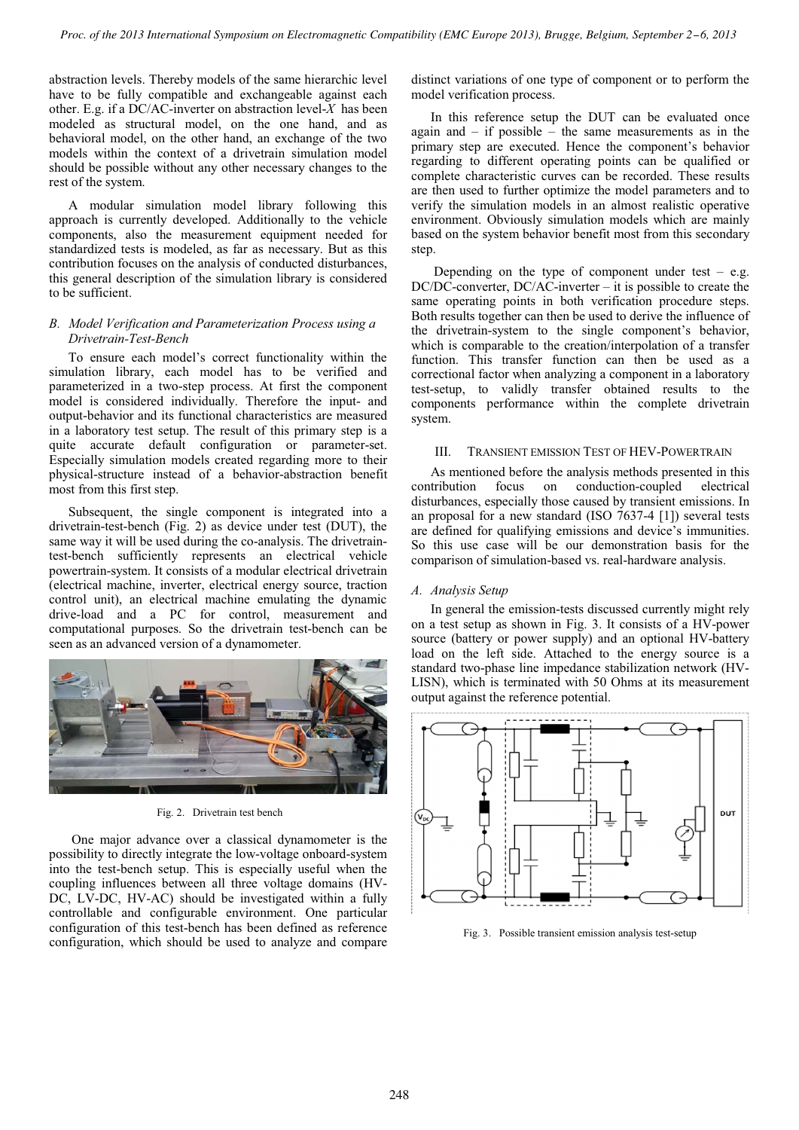abstraction levels. Thereby models of the same hierarchic level have to be fully compatible and exchangeable against each other. E.g. if a DC/AC-inverter on abstraction level-*X* has been modeled as structural model, on the one hand, and as behavioral model, on the other hand, an exchange of the two models within the context of a drivetrain simulation model should be possible without any other necessary changes to the rest of the system.

A modular simulation model library following this approach is currently developed. Additionally to the vehicle components, also the measurement equipment needed for standardized tests is modeled, as far as necessary. But as this contribution focuses on the analysis of conducted disturbances, this general description of the simulation library is considered to be sufficient.

# *B. Model Verification and Parameterization Process using a Drivetrain-Test-Bench*

To ensure each model's correct functionality within the simulation library, each model has to be verified and parameterized in a two-step process. At first the component model is considered individually. Therefore the input- and output-behavior and its functional characteristics are measured in a laboratory test setup. The result of this primary step is a quite accurate default configuration or parameter-set. Especially simulation models created regarding more to their physical-structure instead of a behavior-abstraction benefit most from this first step.

Subsequent, the single component is integrated into a drivetrain-test-bench (Fig. 2) as device under test (DUT), the same way it will be used during the co-analysis. The drivetraintest-bench sufficiently represents an electrical vehicle powertrain-system. It consists of a modular electrical drivetrain (electrical machine, inverter, electrical energy source, traction control unit), an electrical machine emulating the dynamic drive-load and a PC for control, measurement and computational purposes. So the drivetrain test-bench can be seen as an advanced version of a dynamometer.



Fig. 2. Drivetrain test bench

One major advance over a classical dynamometer is the possibility to directly integrate the low-voltage onboard-system into the test-bench setup. This is especially useful when the coupling influences between all three voltage domains (HV-DC, LV-DC, HV-AC) should be investigated within a fully controllable and configurable environment. One particular configuration of this test-bench has been defined as reference configuration, which should be used to analyze and compare

distinct variations of one type of component or to perform the model verification process.

In this reference setup the DUT can be evaluated once again and  $-$  if possible  $-$  the same measurements as in the primary step are executed. Hence the component's behavior regarding to different operating points can be qualified or complete characteristic curves can be recorded. These results are then used to further optimize the model parameters and to verify the simulation models in an almost realistic operative environment. Obviously simulation models which are mainly based on the system behavior benefit most from this secondary step.

Depending on the type of component under test  $-$  e.g. DC/DC-converter, DC/AC-inverter – it is possible to create the same operating points in both verification procedure steps. Both results together can then be used to derive the influence of the drivetrain-system to the single component's behavior, which is comparable to the creation/interpolation of a transfer function. This transfer function can then be used as a correctional factor when analyzing a component in a laboratory test-setup, to validly transfer obtained results to the components performance within the complete drivetrain system.

# III. TRANSIENT EMISSION TEST OF HEV-POWERTRAIN

As mentioned before the analysis methods presented in this contribution focus on conduction-coupled electrical disturbances, especially those caused by transient emissions. In an proposal for a new standard (ISO 7637-4 [1]) several tests are defined for qualifying emissions and device's immunities. So this use case will be our demonstration basis for the comparison of simulation-based vs. real-hardware analysis.

# *A. Analysis Setup*

In general the emission-tests discussed currently might rely on a test setup as shown in Fig. 3. It consists of a HV-power source (battery or power supply) and an optional HV-battery load on the left side. Attached to the energy source is a standard two-phase line impedance stabilization network (HV-LISN), which is terminated with 50 Ohms at its measurement output against the reference potential.



Fig. 3. Possible transient emission analysis test-setup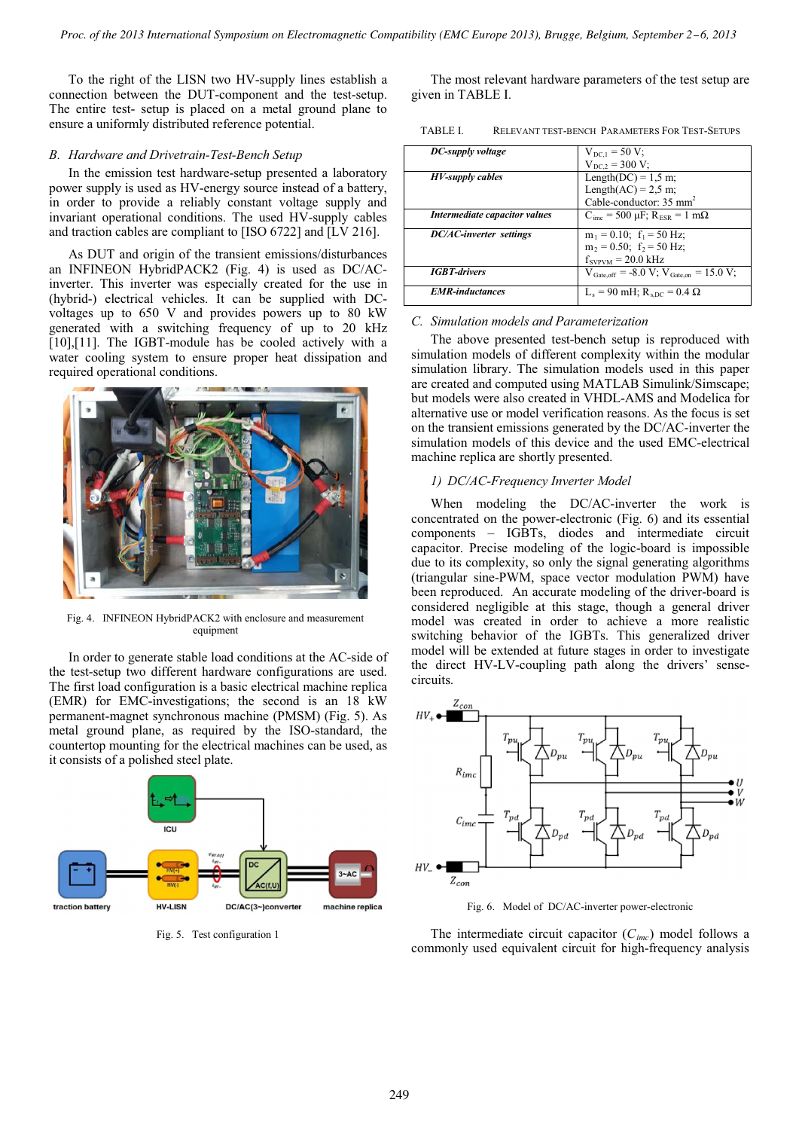To the right of the LISN two HV-supply lines establish a connection between the DUT-component and the test-setup. The entire test- setup is placed on a metal ground plane to ensure a uniformly distributed reference potential.

## *B. Hardware and Drivetrain-Test-Bench Setup*

In the emission test hardware-setup presented a laboratory power supply is used as HV-energy source instead of a battery, in order to provide a reliably constant voltage supply and invariant operational conditions. The used HV-supply cables and traction cables are compliant to [ISO 6722] and [LV 216].

As DUT and origin of the transient emissions/disturbances an INFINEON HybridPACK2 (Fig. 4) is used as DC/ACinverter. This inverter was especially created for the use in (hybrid-) electrical vehicles. It can be supplied with DCvoltages up to 650 V and provides powers up to 80 kW generated with a switching frequency of up to 20 kHz [10],[11]. The IGBT-module has be cooled actively with a water cooling system to ensure proper heat dissipation and required operational conditions.



Fig. 4. INFINEON HybridPACK2 with enclosure and measurement equipment

In order to generate stable load conditions at the AC-side of the test-setup two different hardware configurations are used. The first load configuration is a basic electrical machine replica (EMR) for EMC-investigations; the second is an 18 kW permanent-magnet synchronous machine (PMSM) (Fig. 5). As metal ground plane, as required by the ISO-standard, the countertop mounting for the electrical machines can be used, as it consists of a polished steel plate.



Fig. 5. Test configuration 1

The most relevant hardware parameters of the test setup are given in TABLE I.

TABLE I. RELEVANT TEST-BENCH PARAMETERS FOR TEST-SETUPS

| DC-supply voltage              | $V_{\rm DCL}$ = 50 V;                                                        |
|--------------------------------|------------------------------------------------------------------------------|
|                                | $V_{DC2} = 300 V$ ;                                                          |
| HV-supply cables               | Length(DC) = $1,5$ m;                                                        |
|                                | Length $(AC)$ = 2,5 m;                                                       |
|                                | Cable-conductor: 35 mm <sup>2</sup>                                          |
| Intermediate capacitor values  | $C_{\text{inc}}$ = 500 $\mu$ F; R <sub>ESR</sub> = 1 m $\Omega$              |
| <b>DC/AC-inverter</b> settings | $m_1 = 0.10$ ; $f_1 = 50$ Hz;                                                |
|                                | $m_2 = 0.50$ ; $f_2 = 50$ Hz;                                                |
|                                | $f_{SVPVM} = 20.0$ kHz                                                       |
| <b>IGBT-drivers</b>            | $V_{\text{Gate off}} = -8.0 \text{ V}; V_{\text{Gate on}} = 15.0 \text{ V};$ |
| <b>EMR-inductances</b>         | $L_s = 90$ mH; $R_{sDC} = 0.4 \Omega$                                        |

#### *C. Simulation models and Parameterization*

The above presented test-bench setup is reproduced with simulation models of different complexity within the modular simulation library. The simulation models used in this paper are created and computed using MATLAB Simulink/Simscape; but models were also created in VHDL-AMS and Modelica for alternative use or model verification reasons. As the focus is set on the transient emissions generated by the DC/AC-inverter the simulation models of this device and the used EMC-electrical machine replica are shortly presented.

#### *1) DC/AC-Frequency Inverter Model*

When modeling the DC/AC-inverter the work is concentrated on the power-electronic (Fig. 6) and its essential components – IGBTs, diodes and intermediate circuit capacitor. Precise modeling of the logic-board is impossible due to its complexity, so only the signal generating algorithms (triangular sine-PWM, space vector modulation PWM) have been reproduced. An accurate modeling of the driver-board is considered negligible at this stage, though a general driver model was created in order to achieve a more realistic switching behavior of the IGBTs. This generalized driver model will be extended at future stages in order to investigate the direct HV-LV-coupling path along the drivers' sensecircuits.



Fig. 6. Model of DC/AC-inverter power-electronic

The intermediate circuit capacitor  $(C<sub>imc</sub>)$  model follows a commonly used equivalent circuit for high-frequency analysis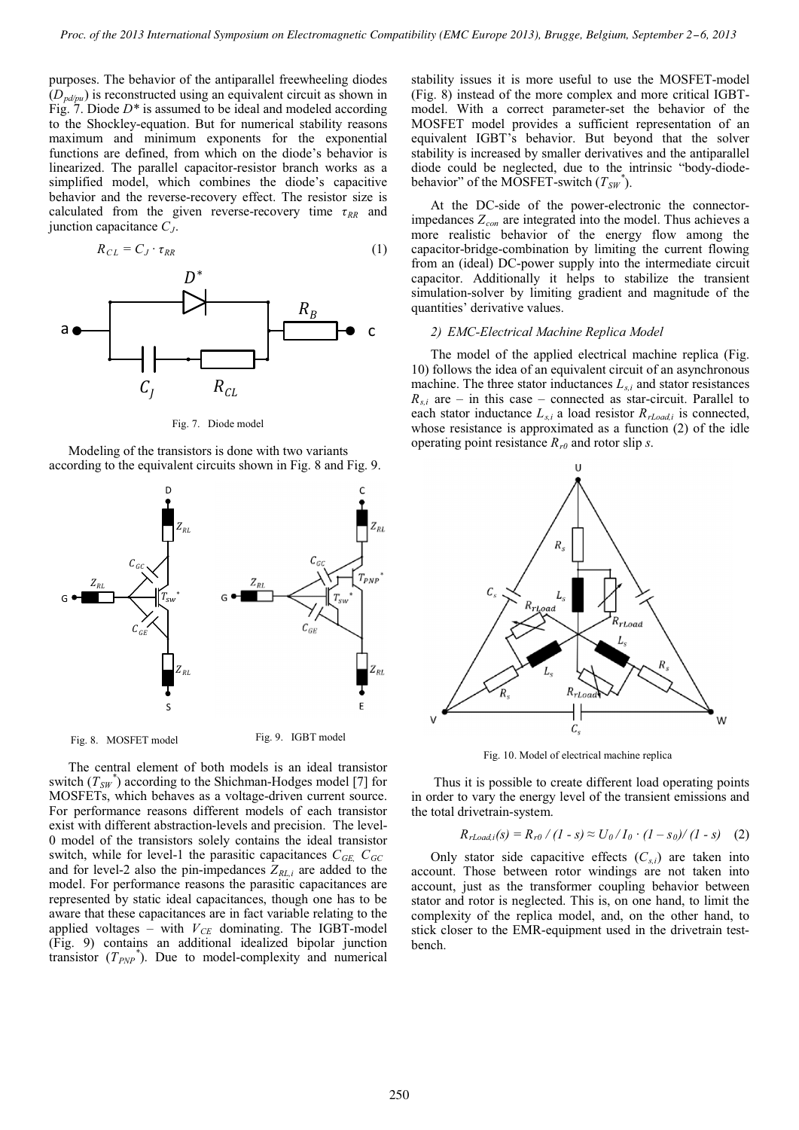purposes. The behavior of the antiparallel freewheeling diodes (*Dpd/pu*) is reconstructed using an equivalent circuit as shown in Fig. 7. Diode *D\** is assumed to be ideal and modeled according to the Shockley-equation. But for numerical stability reasons maximum and minimum exponents for the exponential functions are defined, from which on the diode's behavior is linearized. The parallel capacitor-resistor branch works as a simplified model, which combines the diode's capacitive behavior and the reverse-recovery effect. The resistor size is calculated from the given reverse-recovery time  $\tau_{RR}$  and junction capacitance *CJ*.

$$
R_{CL} = C_J \cdot \tau_{RR} \tag{1}
$$



Fig. 7. Diode model

Modeling of the transistors is done with two variants according to the equivalent circuits shown in Fig. 8 and Fig. 9.



The central element of both models is an ideal transistor switch  $(T_{SW}^*$  according to the Shichman-Hodges model [7] for MOSFETs, which behaves as a voltage-driven current source. For performance reasons different models of each transistor exist with different abstraction-levels and precision. The level-0 model of the transistors solely contains the ideal transistor switch, while for level-1 the parasitic capacitances  $C_{GE}$ ,  $C_{GC}$ and for level-2 also the pin-impedances  $Z_{RL,i}$  are added to the model. For performance reasons the parasitic capacitances are represented by static ideal capacitances, though one has to be aware that these capacitances are in fact variable relating to the applied voltages – with  $V_{CE}$  dominating. The IGBT-model (Fig. 9) contains an additional idealized bipolar junction transistor  $(T_{PNP}^*$ ). Due to model-complexity and numerical

stability issues it is more useful to use the MOSFET-model (Fig. 8) instead of the more complex and more critical IGBTmodel. With a correct parameter-set the behavior of the MOSFET model provides a sufficient representation of an equivalent IGBT's behavior. But beyond that the solver stability is increased by smaller derivatives and the antiparallel diode could be neglected, due to the intrinsic "body-diodebehavior" of the MOSFET-switch  $(T_{SW}^*)$ .

At the DC-side of the power-electronic the connectorimpedances  $Z_{con}$  are integrated into the model. Thus achieves a more realistic behavior of the energy flow among the capacitor-bridge-combination by limiting the current flowing from an (ideal) DC-power supply into the intermediate circuit capacitor. Additionally it helps to stabilize the transient simulation-solver by limiting gradient and magnitude of the quantities' derivative values.

## *2) EMC-Electrical Machine Replica Model*

The model of the applied electrical machine replica (Fig. 10) follows the idea of an equivalent circuit of an asynchronous machine. The three stator inductances  $L_{s,i}$  and stator resistances  $R_{s,i}$  are – in this case – connected as star-circuit. Parallel to each stator inductance  $L_{s,i}$  a load resistor  $R_{rLoad,i}$  is connected, whose resistance is approximated as a function (2) of the idle operating point resistance  $R_{r0}$  and rotor slip *s*.



Fig. 10. Model of electrical machine replica

Thus it is possible to create different load operating points in order to vary the energy level of the transient emissions and the total drivetrain-system.

$$
R_{rLoad, i}(s) = R_{r0} / (1 - s) \approx U_0 / I_0 \cdot (1 - s_0) / (1 - s)
$$
 (2)

Only stator side capacitive effects  $(C_{s,i})$  are taken into account. Those between rotor windings are not taken into account, just as the transformer coupling behavior between stator and rotor is neglected. This is, on one hand, to limit the complexity of the replica model, and, on the other hand, to stick closer to the EMR-equipment used in the drivetrain testbench.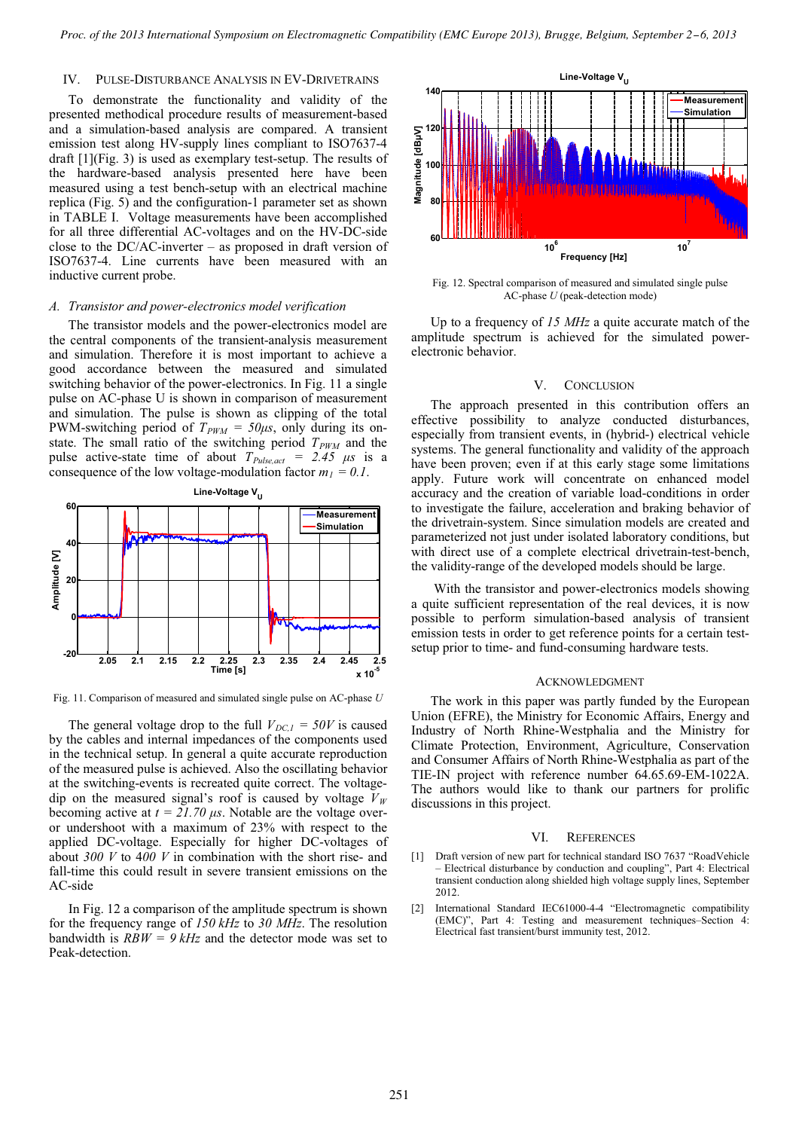# IV. PULSE-DISTURBANCE ANALYSIS IN EV-DRIVETRAINS

To demonstrate the functionality and validity of the presented methodical procedure results of measurement-based and a simulation-based analysis are compared. A transient emission test along HV-supply lines compliant to ISO7637-4 draft [1](Fig. 3) is used as exemplary test-setup. The results of the hardware-based analysis presented here have been measured using a test bench-setup with an electrical machine replica (Fig. 5) and the configuration-1 parameter set as shown in TABLE I. Voltage measurements have been accomplished for all three differential AC-voltages and on the HV-DC-side close to the DC/AC-inverter – as proposed in draft version of ISO7637-4. Line currents have been measured with an inductive current probe.

#### *A. Transistor and power-electronics model verification*

The transistor models and the power-electronics model are the central components of the transient-analysis measurement and simulation. Therefore it is most important to achieve a good accordance between the measured and simulated switching behavior of the power-electronics. In Fig. 11 a single pulse on AC-phase U is shown in comparison of measurement and simulation. The pulse is shown as clipping of the total PWM-switching period of  $T_{PWM} = 50\mu s$ , only during its onstate. The small ratio of the switching period  $T_{PWM}$  and the pulse active-state time of about  $T_{\text{Pulse,act}} = 2.45 \ \mu s$  is a consequence of the low voltage-modulation factor  $m_1 = 0.1$ .



Fig. 11. Comparison of measured and simulated single pulse on AC-phase *U*

The general voltage drop to the full  $V_{DC,1} = 50V$  is caused by the cables and internal impedances of the components used in the technical setup. In general a quite accurate reproduction of the measured pulse is achieved. Also the oscillating behavior at the switching-events is recreated quite correct. The voltagedip on the measured signal's roof is caused by voltage  $V_W$ becoming active at  $t = 21.70 \,\mu s$ . Notable are the voltage overor undershoot with a maximum of 23% with respect to the applied DC-voltage. Especially for higher DC-voltages of about *300 V* to 4*00 V* in combination with the short rise- and fall-time this could result in severe transient emissions on the AC-side

In Fig. 12 a comparison of the amplitude spectrum is shown for the frequency range of *150 kHz* to *30 MHz*. The resolution bandwidth is  $RBW = 9 kHz$  and the detector mode was set to Peak-detection.



Fig. 12. Spectral comparison of measured and simulated single pulse AC-phase *U* (peak-detection mode)

Up to a frequency of *15 MHz* a quite accurate match of the amplitude spectrum is achieved for the simulated powerelectronic behavior.

#### V. CONCLUSION

The approach presented in this contribution offers an effective possibility to analyze conducted disturbances, especially from transient events, in (hybrid-) electrical vehicle systems. The general functionality and validity of the approach have been proven; even if at this early stage some limitations apply. Future work will concentrate on enhanced model accuracy and the creation of variable load-conditions in order to investigate the failure, acceleration and braking behavior of the drivetrain-system. Since simulation models are created and parameterized not just under isolated laboratory conditions, but with direct use of a complete electrical drivetrain-test-bench, the validity-range of the developed models should be large.

With the transistor and power-electronics models showing a quite sufficient representation of the real devices, it is now possible to perform simulation-based analysis of transient emission tests in order to get reference points for a certain testsetup prior to time- and fund-consuming hardware tests.

#### ACKNOWLEDGMENT

The work in this paper was partly funded by the European Union (EFRE), the Ministry for Economic Affairs, Energy and Industry of North Rhine-Westphalia and the Ministry for Climate Protection, Environment, Agriculture, Conservation and Consumer Affairs of North Rhine-Westphalia as part of the TIE-IN project with reference number 64.65.69-EM-1022A. The authors would like to thank our partners for prolific discussions in this project.

#### VI. REFERENCES

- [1] Draft version of new part for technical standard ISO 7637 "RoadVehicle – Electrical disturbance by conduction and coupling", Part 4: Electrical transient conduction along shielded high voltage supply lines, September 2012.
- [2] International Standard IEC61000-4-4 "Electromagnetic compatibility (EMC)", Part 4: Testing and measurement techniques–Section 4: Electrical fast transient/burst immunity test, 2012.